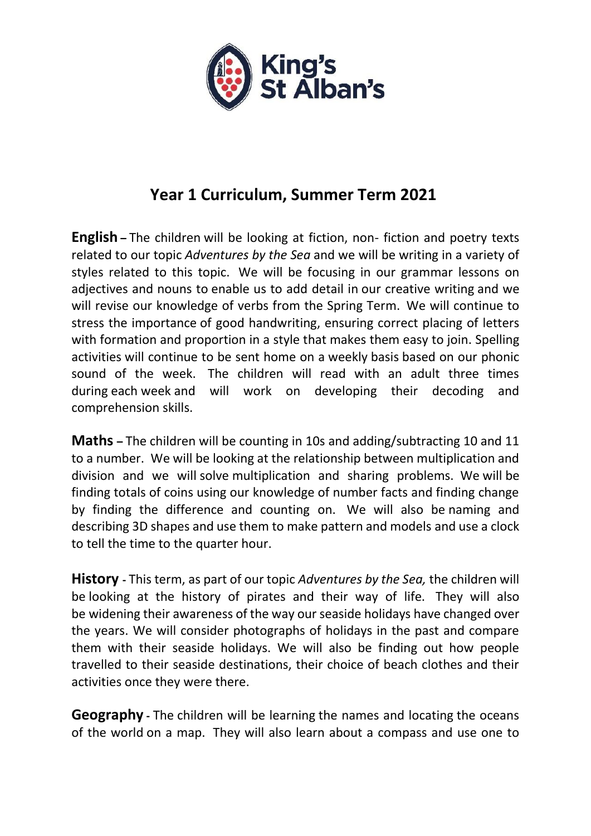

## **Year 1 Curriculum, Summer Term 2021**

**English –** The children will be looking at fiction, non- fiction and poetry texts related to our topic *Adventures by the Sea* and we will be writing in a variety of styles related to this topic. We will be focusing in our grammar lessons on adjectives and nouns to enable us to add detail in our creative writing and we will revise our knowledge of verbs from the Spring Term. We will continue to stress the importance of good handwriting, ensuring correct placing of letters with formation and proportion in a style that makes them easy to join. Spelling activities will continue to be sent home on a weekly basis based on our phonic sound of the week. The children will read with an adult three times during each week and will work on developing their decoding and comprehension skills.

**Maths –** The children will be counting in 10s and adding/subtracting 10 and 11 to a number. We will be looking at the relationship between multiplication and division and we will solve multiplication and sharing problems. We will be finding totals of coins using our knowledge of number facts and finding change by finding the difference and counting on. We will also be naming and describing 3D shapes and use them to make pattern and models and use a clock to tell the time to the quarter hour.

**History -** This term, as part of our topic *Adventures by the Sea,* the children will be looking at the history of pirates and their way of life. They will also be widening their awareness of the way our seaside holidays have changed over the years. We will consider photographs of holidays in the past and compare them with their seaside holidays. We will also be finding out how people travelled to their seaside destinations, their choice of beach clothes and their activities once they were there.

**Geography -** The children will be learning the names and locating the oceans of the world on a map. They will also learn about a compass and use one to